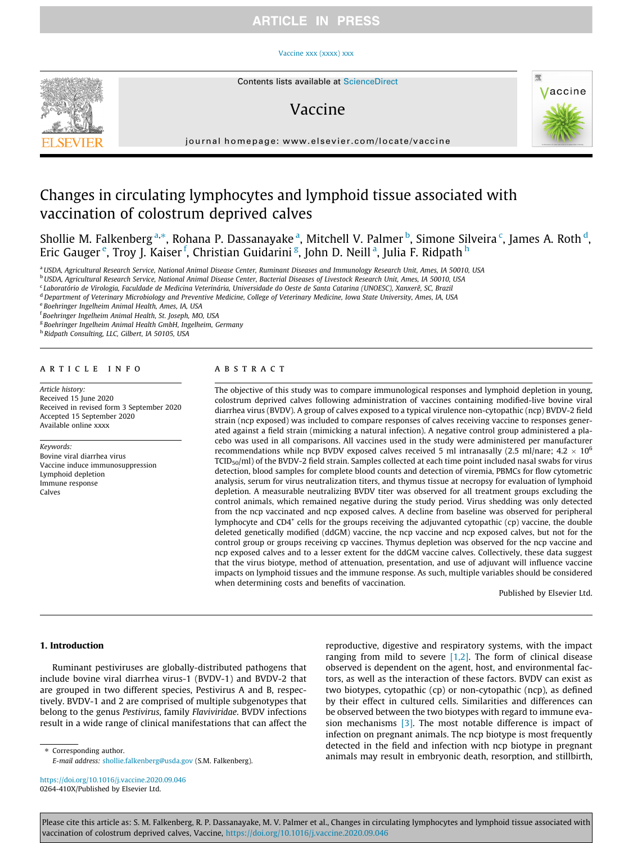## **ARTICLE IN PRESS**

#### [Vaccine xxx \(xxxx\) xxx](https://doi.org/10.1016/j.vaccine.2020.09.046)



# Vaccine



journal homepage: [www.elsevier.com/locate/vaccine](http://www.elsevier.com/locate/vaccine)

# Changes in circulating lymphocytes and lymphoid tissue associated with vaccination of colostrum deprived calves

Shollie M. Falkenberg <sup>a,</sup>\*, Rohana P. Dassanayake <sup>a</sup>, Mitchell V. Palmer <sup>b</sup>, Simone Silveira <sup>c</sup>, James A. Roth <sup>d</sup>, Eric Gauger<sup>e</sup>, Troy J. Kaiser <sup>f</sup>, Christian Guidarini <sup>g</sup>, John D. Neill <sup>a</sup>, Julia F. Ridpath <sup>h</sup>

a USDA, Agricultural Research Service, National Animal Disease Center, Ruminant Diseases and Immunology Research Unit, Ames, IA 50010, USA

<sup>b</sup> USDA, Agricultural Research Service, National Animal Disease Center, Bacterial Diseases of Livestock Research Unit, Ames, IA 50010, USA

<sup>c</sup> Laboratório de Virologia, Faculdade de Medicina Veterinária, Universidade do Oeste de Santa Catarina (UNOESC), Xanxerê, SC, Brazil

<sup>d</sup> Department of Veterinary Microbiology and Preventive Medicine, College of Veterinary Medicine, Iowa State University, Ames, IA, USA

<sup>e</sup> Boehringer Ingelheim Animal Health, Ames, IA, USA

f Boehringer Ingelheim Animal Health, St. Joseph, MO, USA

<sup>g</sup> Boehringer Ingelheim Animal Health GmbH, Ingelheim, Germany

h Ridpath Consulting, LLC, Gilbert, IA 50105, USA

### article info

Article history: Received 15 June 2020 Received in revised form 3 September 2020 Accepted 15 September 2020 Available online xxxx

#### Keywords:

Bovine viral diarrhea virus Vaccine induce immunosuppression Lymphoid depletion Immune response Calves

### **ABSTRACT**

The objective of this study was to compare immunological responses and lymphoid depletion in young, colostrum deprived calves following administration of vaccines containing modified-live bovine viral diarrhea virus (BVDV). A group of calves exposed to a typical virulence non-cytopathic (ncp) BVDV-2 field strain (ncp exposed) was included to compare responses of calves receiving vaccine to responses generated against a field strain (mimicking a natural infection). A negative control group administered a placebo was used in all comparisons. All vaccines used in the study were administered per manufacturer recommendations while ncp BVDV exposed calves received 5 ml intranasally (2.5 ml/nare;  $4.2 \times 10^6$ ) TCID50/ml) of the BVDV-2 field strain. Samples collected at each time point included nasal swabs for virus detection, blood samples for complete blood counts and detection of viremia, PBMCs for flow cytometric analysis, serum for virus neutralization titers, and thymus tissue at necropsy for evaluation of lymphoid depletion. A measurable neutralizing BVDV titer was observed for all treatment groups excluding the control animals, which remained negative during the study period. Virus shedding was only detected from the ncp vaccinated and ncp exposed calves. A decline from baseline was observed for peripheral lymphocyte and CD4<sup>+</sup> cells for the groups receiving the adjuvanted cytopathic (cp) vaccine, the double deleted genetically modified (ddGM) vaccine, the ncp vaccine and ncp exposed calves, but not for the control group or groups receiving cp vaccines. Thymus depletion was observed for the ncp vaccine and ncp exposed calves and to a lesser extent for the ddGM vaccine calves. Collectively, these data suggest that the virus biotype, method of attenuation, presentation, and use of adjuvant will influence vaccine impacts on lymphoid tissues and the immune response. As such, multiple variables should be considered when determining costs and benefits of vaccination.

Published by Elsevier Ltd.

### 1. Introduction

Ruminant pestiviruses are globally-distributed pathogens that include bovine viral diarrhea virus-1 (BVDV-1) and BVDV-2 that are grouped in two different species, Pestivirus A and B, respectively. BVDV-1 and 2 are comprised of multiple subgenotypes that belong to the genus Pestivirus, family Flaviviridae. BVDV infections result in a wide range of clinical manifestations that can affect the

reproductive, digestive and respiratory systems, with the impact ranging from mild to severe  $[1,2]$ . The form of clinical disease observed is dependent on the agent, host, and environmental factors, as well as the interaction of these factors. BVDV can exist as two biotypes, cytopathic (cp) or non-cytopathic (ncp), as defined by their effect in cultured cells. Similarities and differences can be observed between the two biotypes with regard to immune evasion mechanisms [\[3\]](#page-8-0). The most notable difference is impact of infection on pregnant animals. The ncp biotype is most frequently detected in the field and infection with ncp biotype in pregnant animals may result in embryonic death, resorption, and stillbirth,

⇑ Corresponding author. E-mail address: [shollie.falkenberg@usda.gov](mailto:shollie.falkenberg@usda.gov) (S.M. Falkenberg).

<https://doi.org/10.1016/j.vaccine.2020.09.046> 0264-410X/Published by Elsevier Ltd.

Please cite this article as: S. M. Falkenberg, R. P. Dassanayake, M. V. Palmer et al., Changes in circulating lymphocytes and lymphoid tissue associated with vaccination of colostrum deprived calves, Vaccine, <https://doi.org/10.1016/j.vaccine.2020.09.046>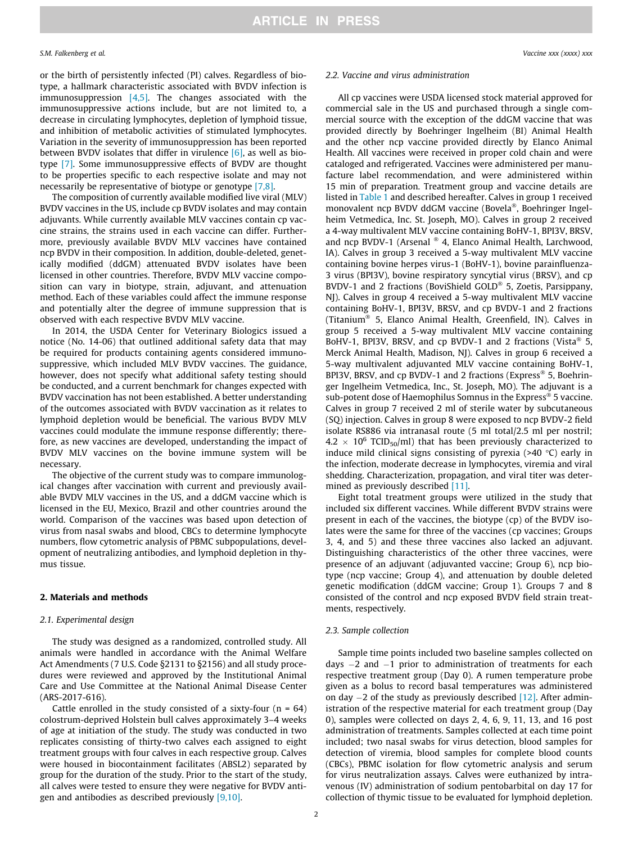S.M. Falkenberg et al. Vaccine xxx (xxxx) xxx

or the birth of persistently infected (PI) calves. Regardless of biotype, a hallmark characteristic associated with BVDV infection is immunosuppression  $[4,5]$ . The changes associated with the immunosuppressive actions include, but are not limited to, a decrease in circulating lymphocytes, depletion of lymphoid tissue, and inhibition of metabolic activities of stimulated lymphocytes. Variation in the severity of immunosuppression has been reported between BVDV isolates that differ in virulence  $[6]$ , as well as biotype [\[7\].](#page-9-0) Some immunosuppressive effects of BVDV are thought to be properties specific to each respective isolate and may not necessarily be representative of biotype or genotype [\[7,8\]](#page-9-0).

The composition of currently available modified live viral (MLV) BVDV vaccines in the US, include cp BVDV isolates and may contain adjuvants. While currently available MLV vaccines contain cp vaccine strains, the strains used in each vaccine can differ. Furthermore, previously available BVDV MLV vaccines have contained ncp BVDV in their composition. In addition, double-deleted, genetically modified (ddGM) attenuated BVDV isolates have been licensed in other countries. Therefore, BVDV MLV vaccine composition can vary in biotype, strain, adjuvant, and attenuation method. Each of these variables could affect the immune response and potentially alter the degree of immune suppression that is observed with each respective BVDV MLV vaccine.

In 2014, the USDA Center for Veterinary Biologics issued a notice (No. 14-06) that outlined additional safety data that may be required for products containing agents considered immunosuppressive, which included MLV BVDV vaccines. The guidance, however, does not specify what additional safety testing should be conducted, and a current benchmark for changes expected with BVDV vaccination has not been established. A better understanding of the outcomes associated with BVDV vaccination as it relates to lymphoid depletion would be beneficial. The various BVDV MLV vaccines could modulate the immune response differently; therefore, as new vaccines are developed, understanding the impact of BVDV MLV vaccines on the bovine immune system will be necessary.

The objective of the current study was to compare immunological changes after vaccination with current and previously available BVDV MLV vaccines in the US, and a ddGM vaccine which is licensed in the EU, Mexico, Brazil and other countries around the world. Comparison of the vaccines was based upon detection of virus from nasal swabs and blood, CBCs to determine lymphocyte numbers, flow cytometric analysis of PBMC subpopulations, development of neutralizing antibodies, and lymphoid depletion in thymus tissue.

### 2. Materials and methods

#### 2.1. Experimental design

The study was designed as a randomized, controlled study. All animals were handled in accordance with the Animal Welfare Act Amendments (7 U.S. Code §2131 to §2156) and all study procedures were reviewed and approved by the Institutional Animal Care and Use Committee at the National Animal Disease Center (ARS-2017-616).

Cattle enrolled in the study consisted of a sixty-four  $(n = 64)$ colostrum-deprived Holstein bull calves approximately 3–4 weeks of age at initiation of the study. The study was conducted in two replicates consisting of thirty-two calves each assigned to eight treatment groups with four calves in each respective group. Calves were housed in biocontainment facilitates (ABSL2) separated by group for the duration of the study. Prior to the start of the study, all calves were tested to ensure they were negative for BVDV antigen and antibodies as described previously  $[9,10]$ .

#### 2.2. Vaccine and virus administration

All cp vaccines were USDA licensed stock material approved for commercial sale in the US and purchased through a single commercial source with the exception of the ddGM vaccine that was provided directly by Boehringer Ingelheim (BI) Animal Health and the other ncp vaccine provided directly by Elanco Animal Health. All vaccines were received in proper cold chain and were cataloged and refrigerated. Vaccines were administered per manufacture label recommendation, and were administered within 15 min of preparation. Treatment group and vaccine details are listed in [Table 1](#page-2-0) and described hereafter. Calves in group 1 received monovalent ncp BVDV ddGM vaccine (Bovela®, Boehringer Ingelheim Vetmedica, Inc. St. Joseph, MO). Calves in group 2 received a 4-way multivalent MLV vaccine containing BoHV-1, BPI3V, BRSV, and ncp BVDV-1 (Arsenal  $^{\circledast}$  4, Elanco Animal Health, Larchwood, IA). Calves in group 3 received a 5-way multivalent MLV vaccine containing bovine herpes virus-1 (BoHV-1), bovine parainfluenza-3 virus (BPI3V), bovine respiratory syncytial virus (BRSV), and cp BVDV-1 and 2 fractions (BoviShield GOLD<sup>®</sup> 5, Zoetis, Parsippany, NJ). Calves in group 4 received a 5-way multivalent MLV vaccine containing BoHV-1, BPI3V, BRSV, and cp BVDV-1 and 2 fractions (Titanium<sup>®</sup> 5, Elanco Animal Health, Greenfield, IN). Calves in group 5 received a 5-way multivalent MLV vaccine containing BoHV-1, BPI3V, BRSV, and cp BVDV-1 and 2 fractions (Vista<sup>®</sup> 5, Merck Animal Health, Madison, NJ). Calves in group 6 received a 5-way multivalent adjuvanted MLV vaccine containing BoHV-1, BPI3V, BRSV, and cp BVDV-1 and 2 fractions (Express® 5, Boehringer Ingelheim Vetmedica, Inc., St. Joseph, MO). The adjuvant is a sub-potent dose of Haemophilus Somnus in the Express® 5 vaccine. Calves in group 7 received 2 ml of sterile water by subcutaneous (SQ) injection. Calves in group 8 were exposed to ncp BVDV-2 field isolate RS886 via intranasal route (5 ml total/2.5 ml per nostril;  $4.2 \times 10^6$  TCID<sub>50</sub>/ml) that has been previously characterized to induce mild clinical signs consisting of pyrexia (>40  $^{\circ}$ C) early in the infection, moderate decrease in lymphocytes, viremia and viral shedding. Characterization, propagation, and viral titer was determined as previously described [\[11\].](#page-9-0)

Eight total treatment groups were utilized in the study that included six different vaccines. While different BVDV strains were present in each of the vaccines, the biotype (cp) of the BVDV isolates were the same for three of the vaccines (cp vaccines; Groups 3, 4, and 5) and these three vaccines also lacked an adjuvant. Distinguishing characteristics of the other three vaccines, were presence of an adjuvant (adjuvanted vaccine; Group 6), ncp biotype (ncp vaccine; Group 4), and attenuation by double deleted genetic modification (ddGM vaccine; Group 1). Groups 7 and 8 consisted of the control and ncp exposed BVDV field strain treatments, respectively.

#### 2.3. Sample collection

Sample time points included two baseline samples collected on days  $-2$  and  $-1$  prior to administration of treatments for each respective treatment group (Day 0). A rumen temperature probe given as a bolus to record basal temperatures was administered on day  $-2$  of the study as previously described [\[12\]](#page-9-0). After administration of the respective material for each treatment group (Day 0), samples were collected on days 2, 4, 6, 9, 11, 13, and 16 post administration of treatments. Samples collected at each time point included; two nasal swabs for virus detection, blood samples for detection of viremia, blood samples for complete blood counts (CBCs), PBMC isolation for flow cytometric analysis and serum for virus neutralization assays. Calves were euthanized by intravenous (IV) administration of sodium pentobarbital on day 17 for collection of thymic tissue to be evaluated for lymphoid depletion.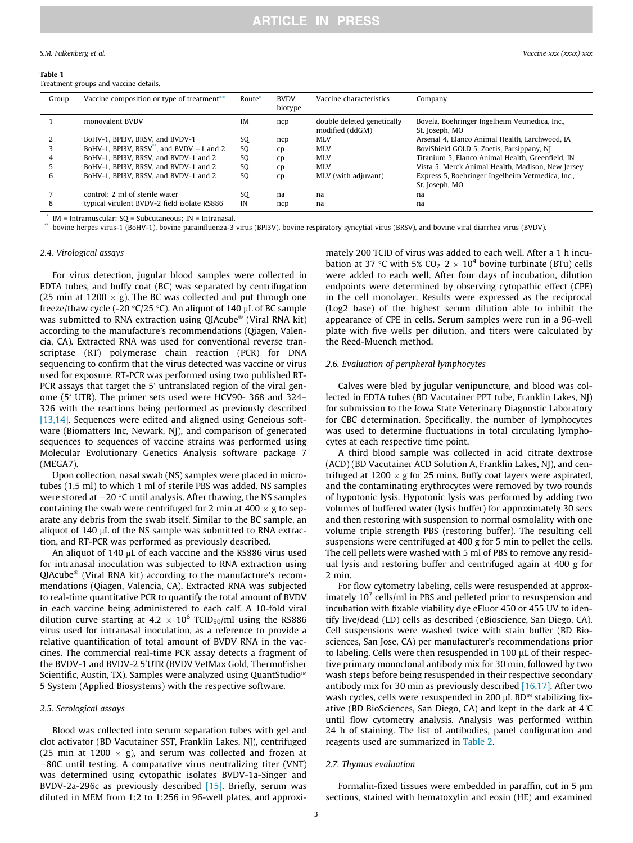#### <span id="page-2-0"></span>Table 1

Treatment groups and vaccine details.

| Group | Vaccine composition or type of treatment**  | Route*         | <b>BVDV</b><br>biotype | Vaccine characteristics                       | Company                                                         |
|-------|---------------------------------------------|----------------|------------------------|-----------------------------------------------|-----------------------------------------------------------------|
|       | monovalent BVDV                             | IM             | ncp                    | double deleted genetically<br>modified (ddGM) | Bovela, Boehringer Ingelheim Vetmedica, Inc.,<br>St. Joseph, MO |
|       | BoHV-1, BPI3V, BRSV, and BVDV-1             | SQ             | ncp                    | <b>MLV</b>                                    | Arsenal 4, Elanco Animal Health, Larchwood, IA                  |
|       | BoHV-1, BPI3V, BRSV, and BVDV $-1$ and 2    | <sub>SO</sub>  | cp                     | <b>MLV</b>                                    | BoviShield GOLD 5, Zoetis, Parsippany, NJ                       |
|       | BoHV-1, BPI3V, BRSV, and BVDV-1 and 2       | S <sub>O</sub> | cp                     | <b>MLV</b>                                    | Titanium 5, Elanco Animal Health, Greenfield, IN                |
|       | BoHV-1, BPI3V, BRSV, and BVDV-1 and 2       | SQ             | cp                     | <b>MLV</b>                                    | Vista 5, Merck Animal Health, Madison, New Jersey               |
| b     | BoHV-1, BPI3V, BRSV, and BVDV-1 and 2       | SQ             | cp                     | MLV (with adjuvant)                           | Express 5, Boehringer Ingelheim Vetmedica, Inc.,                |
|       |                                             |                |                        |                                               | St. Joseph, MO                                                  |
|       | control: 2 ml of sterile water              | SO.            | na                     | na                                            | na                                                              |
| 8     | typical virulent BVDV-2 field isolate RS886 | IN             | ncp                    | na                                            | na                                                              |
|       |                                             |                |                        |                                               |                                                                 |

 $IM = Intramuscular$ ; SQ = Subcutaneous;  $IN = Intranasal$ .

\*\* bovine herpes virus-1 (BoHV-1), bovine parainfluenza-3 virus (BPI3V), bovine respiratory syncytial virus (BRSV), and bovine viral diarrhea virus (BVDV).

### 2.4. Virological assays

For virus detection, jugular blood samples were collected in EDTA tubes, and buffy coat (BC) was separated by centrifugation (25 min at 1200  $\times$  g). The BC was collected and put through one freeze/thaw cycle (-20  $\textdegree$ C/25  $\textdegree$ C). An aliquot of 140 µL of BC sample was submitted to RNA extraction using QIAcube<sup>®</sup> (Viral RNA kit) according to the manufacture's recommendations (Qiagen, Valencia, CA). Extracted RNA was used for conventional reverse transcriptase (RT) polymerase chain reaction (PCR) for DNA sequencing to confirm that the virus detected was vaccine or virus used for exposure. RT-PCR was performed using two published RT-PCR assays that target the 5' untranslated region of the viral genome (5' UTR). The primer sets used were HCV90- 368 and 324– 326 with the reactions being performed as previously described [\[13,14\]](#page-9-0). Sequences were edited and aligned using Geneious software (Biomatters Inc, Newark, NJ), and comparison of generated sequences to sequences of vaccine strains was performed using Molecular Evolutionary Genetics Analysis software package 7 (MEGA7).

Upon collection, nasal swab (NS) samples were placed in microtubes (1.5 ml) to which 1 ml of sterile PBS was added. NS samples were stored at  $-20$  °C until analysis. After thawing, the NS samples containing the swab were centrifuged for 2 min at  $400 \times g$  to separate any debris from the swab itself. Similar to the BC sample, an aliquot of  $140 \mu$ L of the NS sample was submitted to RNA extraction, and RT-PCR was performed as previously described.

An aliquot of 140  $\mu$ L of each vaccine and the RS886 virus used for intranasal inoculation was subjected to RNA extraction using  $Q$ IAcube<sup>®</sup> (Viral RNA kit) according to the manufacture's recommendations (Qiagen, Valencia, CA). Extracted RNA was subjected to real-time quantitative PCR to quantify the total amount of BVDV in each vaccine being administered to each calf. A 10-fold viral dilution curve starting at 4.2  $\times$  10<sup>6</sup> TCID<sub>50</sub>/ml using the RS886 virus used for intranasal inoculation, as a reference to provide a relative quantification of total amount of BVDV RNA in the vaccines. The commercial real-time PCR assay detects a fragment of the BVDV-1 and BVDV-2 5'UTR (BVDV VetMax Gold, ThermoFisher Scientific, Austin, TX). Samples were analyzed using QuantStudio<sup>™</sup> 5 System (Applied Biosystems) with the respective software.

### 2.5. Serological assays

Blood was collected into serum separation tubes with gel and clot activator (BD Vacutainer SST, Franklin Lakes, NJ), centrifuged (25 min at 1200  $\times$  g), and serum was collected and frozen at 80C until testing. A comparative virus neutralizing titer (VNT) was determined using cytopathic isolates BVDV-1a-Singer and BVDV-2a-296c as previously described [\[15\]](#page-9-0). Briefly, serum was diluted in MEM from 1:2 to 1:256 in 96-well plates, and approximately 200 TCID of virus was added to each well. After a 1 h incubation at 37 °C with 5% CO<sub>2</sub>,  $2 \times 10^4$  bovine turbinate (BTu) cells were added to each well. After four days of incubation, dilution endpoints were determined by observing cytopathic effect (CPE) in the cell monolayer. Results were expressed as the reciprocal (Log2 base) of the highest serum dilution able to inhibit the appearance of CPE in cells. Serum samples were run in a 96-well plate with five wells per dilution, and titers were calculated by the Reed-Muench method.

#### 2.6. Evaluation of peripheral lymphocytes

Calves were bled by jugular venipuncture, and blood was collected in EDTA tubes (BD Vacutainer PPT tube, Franklin Lakes, NJ) for submission to the Iowa State Veterinary Diagnostic Laboratory for CBC determination. Specifically, the number of lymphocytes was used to determine fluctuations in total circulating lymphocytes at each respective time point.

A third blood sample was collected in acid citrate dextrose (ACD) (BD Vacutainer ACD Solution A, Franklin Lakes, NJ), and centrifuged at  $1200 \times g$  for 25 mins. Buffy coat layers were aspirated, and the contaminating erythrocytes were removed by two rounds of hypotonic lysis. Hypotonic lysis was performed by adding two volumes of buffered water (lysis buffer) for approximately 30 secs and then restoring with suspension to normal osmolality with one volume triple strength PBS (restoring buffer). The resulting cell suspensions were centrifuged at 400 g for 5 min to pellet the cells. The cell pellets were washed with 5 ml of PBS to remove any residual lysis and restoring buffer and centrifuged again at 400 g for 2 min.

For flow cytometry labeling, cells were resuspended at approximately  $10<sup>7</sup>$  cells/ml in PBS and pelleted prior to resuspension and incubation with fixable viability dye eFluor 450 or 455 UV to identify live/dead (LD) cells as described (eBioscience, San Diego, CA). Cell suspensions were washed twice with stain buffer (BD Biosciences, San Jose, CA) per manufacturer's recommendations prior to labeling. Cells were then resuspended in 100  $\mu$ L of their respective primary monoclonal antibody mix for 30 min, followed by two wash steps before being resuspended in their respective secondary antibody mix for 30 min as previously described [\[16,17\].](#page-9-0) After two wash cycles, cells were resuspended in 200  $\mu$ L BD<sup> $M$ </sup> stabilizing fixative (BD BioSciences, San Diego, CA) and kept in the dark at  $4\text{ }^{\circ}$ until flow cytometry analysis. Analysis was performed within 24 h of staining. The list of antibodies, panel configuration and reagents used are summarized in [Table 2.](#page-3-0)

#### 2.7. Thymus evaluation

Formalin-fixed tissues were embedded in paraffin, cut in 5  $\mu$ m sections, stained with hematoxylin and eosin (HE) and examined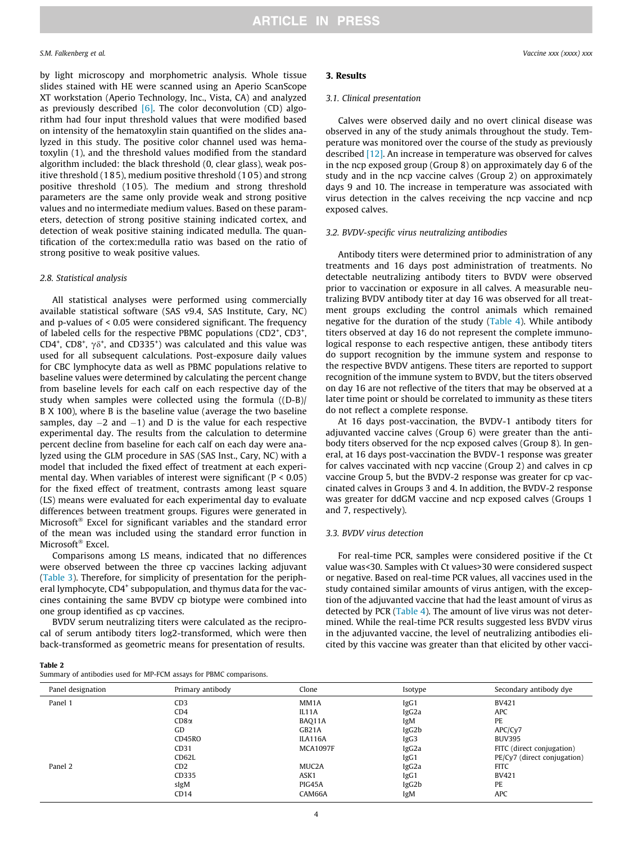<span id="page-3-0"></span>by light microscopy and morphometric analysis. Whole tissue slides stained with HE were scanned using an Aperio ScanScope XT workstation (Aperio Technology, Inc., Vista, CA) and analyzed as previously described  $[6]$ . The color deconvolution (CD) algorithm had four input threshold values that were modified based on intensity of the hematoxylin stain quantified on the slides analyzed in this study. The positive color channel used was hematoxylin (1), and the threshold values modified from the standard algorithm included: the black threshold (0, clear glass), weak positive threshold (185), medium positive threshold (1 05) and strong positive threshold (1 05). The medium and strong threshold parameters are the same only provide weak and strong positive values and no intermediate medium values. Based on these parameters, detection of strong positive staining indicated cortex, and detection of weak positive staining indicated medulla. The quantification of the cortex:medulla ratio was based on the ratio of strong positive to weak positive values.

#### 2.8. Statistical analysis

All statistical analyses were performed using commercially available statistical software (SAS v9.4, SAS Institute, Cary, NC) and p-values of < 0.05 were considered significant. The frequency of labeled cells for the respective PBMC populations (CD2<sup>+</sup>, CD3<sup>+</sup>, CD4<sup>+</sup>, CD8<sup>+</sup>,  $\gamma\delta^+$ , and CD335<sup>+</sup>) was calculated and this value was used for all subsequent calculations. Post-exposure daily values for CBC lymphocyte data as well as PBMC populations relative to baseline values were determined by calculating the percent change from baseline levels for each calf on each respective day of the study when samples were collected using the formula ((D-B)/ B X 100), where B is the baseline value (average the two baseline samples, day  $-2$  and  $-1$ ) and D is the value for each respective experimental day. The results from the calculation to determine percent decline from baseline for each calf on each day were analyzed using the GLM procedure in SAS (SAS Inst., Cary, NC) with a model that included the fixed effect of treatment at each experimental day. When variables of interest were significant ( $P < 0.05$ ) for the fixed effect of treatment, contrasts among least square (LS) means were evaluated for each experimental day to evaluate differences between treatment groups. Figures were generated in Microsoft<sup>®</sup> Excel for significant variables and the standard error of the mean was included using the standard error function in Microsoft<sup>®</sup> Excel.

Comparisons among LS means, indicated that no differences were observed between the three cp vaccines lacking adjuvant ([Table 3\)](#page-4-0). Therefore, for simplicity of presentation for the peripheral lymphocyte, CD4<sup>+</sup> subpopulation, and thymus data for the vaccines containing the same BVDV cp biotype were combined into one group identified as cp vaccines.

BVDV serum neutralizing titers were calculated as the reciprocal of serum antibody titers log2-transformed, which were then back-transformed as geometric means for presentation of results.

### 3. Results

#### 3.1. Clinical presentation

Calves were observed daily and no overt clinical disease was observed in any of the study animals throughout the study. Temperature was monitored over the course of the study as previously described [\[12\]](#page-9-0). An increase in temperature was observed for calves in the ncp exposed group (Group 8) on approximately day 6 of the study and in the ncp vaccine calves (Group 2) on approximately days 9 and 10. The increase in temperature was associated with virus detection in the calves receiving the ncp vaccine and ncp exposed calves.

#### 3.2. BVDV-specific virus neutralizing antibodies

Antibody titers were determined prior to administration of any treatments and 16 days post administration of treatments. No detectable neutralizing antibody titers to BVDV were observed prior to vaccination or exposure in all calves. A measurable neutralizing BVDV antibody titer at day 16 was observed for all treatment groups excluding the control animals which remained negative for the duration of the study [\(Table 4\)](#page-4-0). While antibody titers observed at day 16 do not represent the complete immunological response to each respective antigen, these antibody titers do support recognition by the immune system and response to the respective BVDV antigens. These titers are reported to support recognition of the immune system to BVDV, but the titers observed on day 16 are not reflective of the titers that may be observed at a later time point or should be correlated to immunity as these titers do not reflect a complete response.

At 16 days post-vaccination, the BVDV-1 antibody titers for adjuvanted vaccine calves (Group 6) were greater than the antibody titers observed for the ncp exposed calves (Group 8). In general, at 16 days post-vaccination the BVDV-1 response was greater for calves vaccinated with ncp vaccine (Group 2) and calves in cp vaccine Group 5, but the BVDV-2 response was greater for cp vaccinated calves in Groups 3 and 4. In addition, the BVDV-2 response was greater for ddGM vaccine and ncp exposed calves (Groups 1 and 7, respectively).

### 3.3. BVDV virus detection

For real-time PCR, samples were considered positive if the Ct value was<30. Samples with Ct values>30 were considered suspect or negative. Based on real-time PCR values, all vaccines used in the study contained similar amounts of virus antigen, with the exception of the adjuvanted vaccine that had the least amount of virus as detected by PCR [\(Table 4](#page-4-0)). The amount of live virus was not determined. While the real-time PCR results suggested less BVDV virus in the adjuvanted vaccine, the level of neutralizing antibodies elicited by this vaccine was greater than that elicited by other vacci-

Summary of antibodies used for MP-FCM assays for PBMC comparisons.

|             |                    |                    | Secondary antibody dye      |
|-------------|--------------------|--------------------|-----------------------------|
| CD3         | MM <sub>1</sub> A  | IgG1               | <b>BV421</b>                |
| CD4         | IL11A              | IgG <sub>2</sub> a | <b>APC</b>                  |
| $CD8\alpha$ | BAQ11A             | IgM                | PE                          |
| GD          | GB21A              | IgG2b              | APC/Cy7                     |
| CD45RO      | ILA116A            | IgG3               | <b>BUV395</b>               |
| CD31        | <b>MCA1097F</b>    | IgG <sub>2</sub> a | FITC (direct conjugation)   |
| CD62L       |                    | IgG1               | PE/Cy7 (direct conjugation) |
| CD2         | MUC <sub>2</sub> A | IgG <sub>2</sub> a | <b>FITC</b>                 |
| CD335       | ASK1               | IgG1               | <b>BV421</b>                |
| sIgM        | PIG45A             | IgG2b              | PE                          |
| CD14        | CAM66A             | IgM                | <b>APC</b>                  |
|             | Primary antibody   | Clone              | Isotype                     |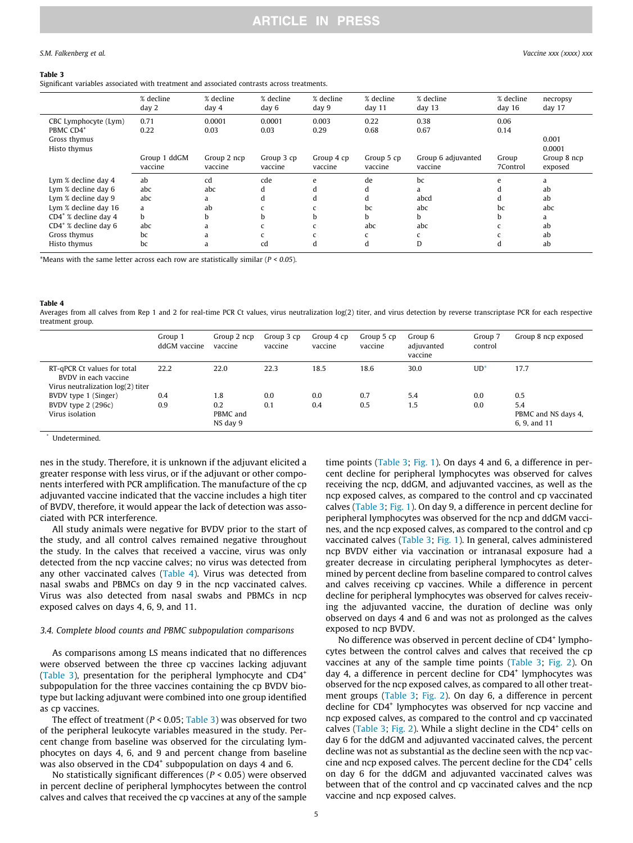#### <span id="page-4-0"></span>Table 3

Significant variables associated with treatment and associated contrasts across treatments.

|                                                                               | % decline<br>day 2      | % decline<br>day 4     | % decline<br>day 6    | % decline<br>day 9    | % decline<br>day $11$ | % decline<br>day <sub>13</sub> | % decline<br>day $16$ | necropsy<br>day 17     |
|-------------------------------------------------------------------------------|-------------------------|------------------------|-----------------------|-----------------------|-----------------------|--------------------------------|-----------------------|------------------------|
| CBC Lymphocyte (Lym)<br>PBMC CD4 <sup>+</sup><br>Gross thymus<br>Histo thymus | 0.71<br>0.22            | 0.0001<br>0.03         | 0.0001<br>0.03        | 0.003<br>0.29         | 0.22<br>0.68          | 0.38<br>0.67                   | 0.06<br>0.14          | 0.001<br>0.0001        |
|                                                                               | Group 1 ddGM<br>vaccine | Group 2 ncp<br>vaccine | Group 3 cp<br>vaccine | Group 4 cp<br>vaccine | Group 5 cp<br>vaccine | Group 6 adjuvanted<br>vaccine  | Group<br>7Control     | Group 8 ncp<br>exposed |
| Lym % decline day 4                                                           | ab                      | cd                     | cde                   | e                     | de                    | bc                             | $\epsilon$            | a                      |
| Lym % decline day 6                                                           | abc                     | abc                    | d                     |                       | d                     | a                              |                       | ab                     |
| Lym % decline day 9                                                           | abc                     | a                      | d                     | d                     | d                     | abcd                           |                       | ab                     |
| Lym % decline day 16                                                          | a                       | ab                     |                       |                       | bc                    | abc                            | bc                    | abc                    |
| $CD4^*$ % decline day 4                                                       | h.                      | b                      | h.                    | h                     | b.                    | h.                             | b                     | a                      |
| $CD4^*$ % decline day 6                                                       | abc                     | a                      |                       |                       | abc                   | abc                            |                       | ab                     |
| Gross thymus                                                                  | bc                      | a                      |                       |                       |                       |                                |                       | ab                     |
| Histo thymus                                                                  | bc                      | a                      | cd                    | d                     | d                     | D                              |                       | ab                     |

\*Means with the same letter across each row are statistically similar ( $P < 0.05$ ).

#### Table 4

Averages from all calves from Rep 1 and 2 for real-time PCR Ct values, virus neutralization log(2) titer, and virus detection by reverse transcriptase PCR for each respective treatment group.

|                                                                                          | Group 1<br>ddGM vaccine | Group 2 ncp<br>vaccine      | Group 3 cp<br>vaccine | Group 4 cp<br>vaccine | Group 5 cp<br>vaccine | Group 6<br>adjuvanted<br>vaccine | Group 7<br>control | Group 8 ncp exposed                        |
|------------------------------------------------------------------------------------------|-------------------------|-----------------------------|-----------------------|-----------------------|-----------------------|----------------------------------|--------------------|--------------------------------------------|
| RT-qPCR Ct values for total<br>BVDV in each vaccine<br>Virus neutralization log(2) titer | 22.2                    | 22.0                        | 22.3                  | 18.5                  | 18.6                  | 30.0                             | $UD^*$             | 17.7                                       |
| BVDV type 1 (Singer)                                                                     | 0.4                     | 1.8                         | 0.0                   | 0.0                   | 0.7                   | 5.4                              | 0.0                | 0.5                                        |
| BVDV type 2 (296c)<br>Virus isolation                                                    | 0.9                     | 0.2<br>PBMC and<br>NS day 9 | 0.1                   | 0.4                   | 0.5                   | 1.5                              | 0.0                | 5.4<br>PBMC and NS days 4,<br>6, 9, and 11 |

\* Undetermined.

nes in the study. Therefore, it is unknown if the adjuvant elicited a greater response with less virus, or if the adjuvant or other components interfered with PCR amplification. The manufacture of the cp adjuvanted vaccine indicated that the vaccine includes a high titer of BVDV, therefore, it would appear the lack of detection was associated with PCR interference.

All study animals were negative for BVDV prior to the start of the study, and all control calves remained negative throughout the study. In the calves that received a vaccine, virus was only detected from the ncp vaccine calves; no virus was detected from any other vaccinated calves (Table 4). Virus was detected from nasal swabs and PBMCs on day 9 in the ncp vaccinated calves. Virus was also detected from nasal swabs and PBMCs in ncp exposed calves on days 4, 6, 9, and 11.

#### 3.4. Complete blood counts and PBMC subpopulation comparisons

As comparisons among LS means indicated that no differences were observed between the three cp vaccines lacking adjuvant (Table 3), presentation for the peripheral lymphocyte and CD4<sup>+</sup> subpopulation for the three vaccines containing the cp BVDV biotype but lacking adjuvant were combined into one group identified as cp vaccines.

The effect of treatment ( $P < 0.05$ ; Table 3) was observed for two of the peripheral leukocyte variables measured in the study. Percent change from baseline was observed for the circulating lymphocytes on days 4, 6, and 9 and percent change from baseline was also observed in the  $CD4^+$  subpopulation on days 4 and 6.

No statistically significant differences ( $P < 0.05$ ) were observed in percent decline of peripheral lymphocytes between the control calves and calves that received the cp vaccines at any of the sample time points (Table 3; [Fig. 1\)](#page-5-0). On days 4 and 6, a difference in percent decline for peripheral lymphocytes was observed for calves receiving the ncp, ddGM, and adjuvanted vaccines, as well as the ncp exposed calves, as compared to the control and cp vaccinated calves (Table 3; [Fig. 1\)](#page-5-0). On day 9, a difference in percent decline for peripheral lymphocytes was observed for the ncp and ddGM vaccines, and the ncp exposed calves, as compared to the control and cp vaccinated calves (Table 3; [Fig. 1\)](#page-5-0). In general, calves administered ncp BVDV either via vaccination or intranasal exposure had a greater decrease in circulating peripheral lymphocytes as determined by percent decline from baseline compared to control calves and calves receiving cp vaccines. While a difference in percent decline for peripheral lymphocytes was observed for calves receiving the adjuvanted vaccine, the duration of decline was only observed on days 4 and 6 and was not as prolonged as the calves exposed to ncp BVDV.

No difference was observed in percent decline of CD4<sup>+</sup> lymphocytes between the control calves and calves that received the cp vaccines at any of the sample time points (Table 3; [Fig. 2](#page-5-0)). On day 4, a difference in percent decline for  $CD4<sup>+</sup>$  lymphocytes was observed for the ncp exposed calves, as compared to all other treatment groups (Table 3; [Fig. 2\)](#page-5-0). On day 6, a difference in percent decline for CD4<sup>+</sup> lymphocytes was observed for ncp vaccine and ncp exposed calves, as compared to the control and cp vaccinated calves (Table 3; [Fig. 2\)](#page-5-0). While a slight decline in the  $CD4^+$  cells on day 6 for the ddGM and adjuvanted vaccinated calves, the percent decline was not as substantial as the decline seen with the ncp vaccine and ncp exposed calves. The percent decline for the CD4<sup>+</sup> cells on day 6 for the ddGM and adjuvanted vaccinated calves was between that of the control and cp vaccinated calves and the ncp vaccine and ncp exposed calves.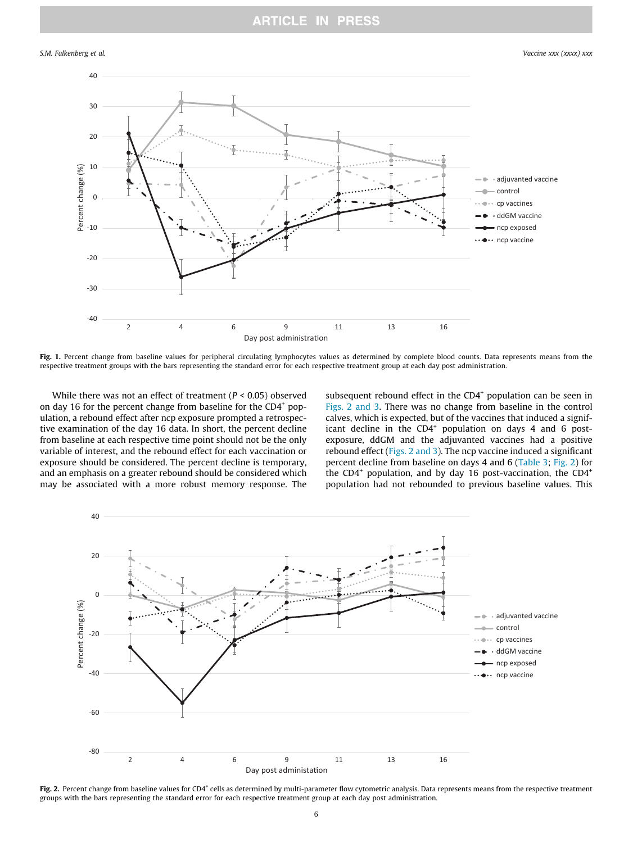## **ARTICLE IN PRESS**

### <span id="page-5-0"></span>S.M. Falkenberg et al. Vaccine xxx (xxxx) xxx



Fig. 1. Percent change from baseline values for peripheral circulating lymphocytes values as determined by complete blood counts. Data represents means from the respective treatment groups with the bars representing the standard error for each respective treatment group at each day post administration.

While there was not an effect of treatment ( $P < 0.05$ ) observed on day 16 for the percent change from baseline for the CD4<sup>+</sup> population, a rebound effect after ncp exposure prompted a retrospective examination of the day 16 data. In short, the percent decline from baseline at each respective time point should not be the only variable of interest, and the rebound effect for each vaccination or exposure should be considered. The percent decline is temporary, and an emphasis on a greater rebound should be considered which may be associated with a more robust memory response. The

subsequent rebound effect in the CD4<sup>+</sup> population can be seen in Figs. 2 and 3. There was no change from baseline in the control calves, which is expected, but of the vaccines that induced a significant decline in the  $CD4^+$  population on days 4 and 6 postexposure, ddGM and the adjuvanted vaccines had a positive rebound effect (Figs. 2 and 3). The ncp vaccine induced a significant percent decline from baseline on days 4 and 6 [\(Table 3;](#page-4-0) Fig. 2) for the  $CD4^+$  population, and by day 16 post-vaccination, the  $CD4^+$ population had not rebounded to previous baseline values. This



Fig. 2. Percent change from baseline values for CD4<sup>+</sup> cells as determined by multi-parameter flow cytometric analysis. Data represents means from the respective treatment groups with the bars representing the standard error for each respective treatment group at each day post administration.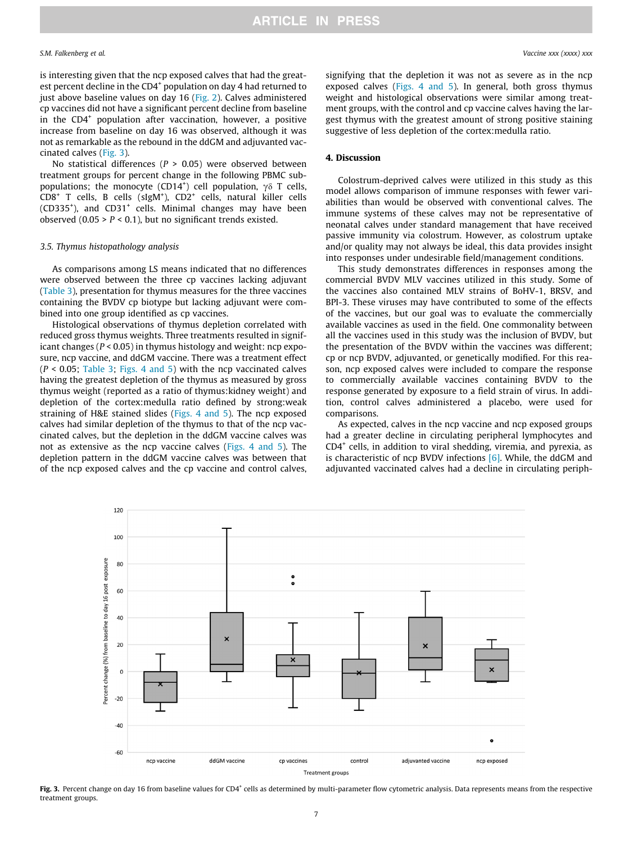is interesting given that the ncp exposed calves that had the greatest percent decline in the CD4<sup>+</sup> population on day 4 had returned to just above baseline values on day 16 ([Fig. 2](#page-5-0)). Calves administered cp vaccines did not have a significant percent decline from baseline in the CD4<sup>+</sup> population after vaccination, however, a positive increase from baseline on day 16 was observed, although it was not as remarkable as the rebound in the ddGM and adjuvanted vaccinated calves (Fig. 3).

No statistical differences ( $P > 0.05$ ) were observed between treatment groups for percent change in the following PBMC subpopulations; the monocyte (CD14<sup>+</sup>) cell population,  $\gamma \delta$  T cells, CD8<sup>+</sup> T cells, B cells (sIgM<sup>+</sup>), CD2<sup>+</sup> cells, natural killer cells (CD335<sup>+</sup>), and CD31<sup>+</sup> cells. Minimal changes may have been observed  $(0.05 > P < 0.1)$ , but no significant trends existed.

#### 3.5. Thymus histopathology analysis

As comparisons among LS means indicated that no differences were observed between the three cp vaccines lacking adjuvant ([Table 3](#page-4-0)), presentation for thymus measures for the three vaccines containing the BVDV cp biotype but lacking adjuvant were combined into one group identified as cp vaccines.

Histological observations of thymus depletion correlated with reduced gross thymus weights. Three treatments resulted in significant changes ( $P < 0.05$ ) in thymus histology and weight: ncp exposure, ncp vaccine, and ddGM vaccine. There was a treatment effect  $(P < 0.05$ ; [Table 3;](#page-4-0) [Figs. 4 and 5\)](#page-7-0) with the ncp vaccinated calves having the greatest depletion of the thymus as measured by gross thymus weight (reported as a ratio of thymus:kidney weight) and depletion of the cortex:medulla ratio defined by strong:weak straining of H&E stained slides [\(Figs. 4 and 5\)](#page-7-0). The ncp exposed calves had similar depletion of the thymus to that of the ncp vaccinated calves, but the depletion in the ddGM vaccine calves was not as extensive as the ncp vaccine calves ([Figs. 4 and 5\)](#page-7-0). The depletion pattern in the ddGM vaccine calves was between that of the ncp exposed calves and the cp vaccine and control calves,

signifying that the depletion it was not as severe as in the ncp exposed calves ([Figs. 4 and 5\)](#page-7-0). In general, both gross thymus weight and histological observations were similar among treatment groups, with the control and cp vaccine calves having the largest thymus with the greatest amount of strong positive staining suggestive of less depletion of the cortex:medulla ratio.

#### 4. Discussion

Colostrum-deprived calves were utilized in this study as this model allows comparison of immune responses with fewer variabilities than would be observed with conventional calves. The immune systems of these calves may not be representative of neonatal calves under standard management that have received passive immunity via colostrum. However, as colostrum uptake and/or quality may not always be ideal, this data provides insight into responses under undesirable field/management conditions.

This study demonstrates differences in responses among the commercial BVDV MLV vaccines utilized in this study. Some of the vaccines also contained MLV strains of BoHV-1, BRSV, and BPI-3. These viruses may have contributed to some of the effects of the vaccines, but our goal was to evaluate the commercially available vaccines as used in the field. One commonality between all the vaccines used in this study was the inclusion of BVDV, but the presentation of the BVDV within the vaccines was different; cp or ncp BVDV, adjuvanted, or genetically modified. For this reason, ncp exposed calves were included to compare the response to commercially available vaccines containing BVDV to the response generated by exposure to a field strain of virus. In addition, control calves administered a placebo, were used for comparisons.

As expected, calves in the ncp vaccine and ncp exposed groups had a greater decline in circulating peripheral lymphocytes and  $CD4<sup>+</sup>$  cells, in addition to viral shedding, viremia, and pyrexia, as is characteristic of ncp BVDV infections [\[6\].](#page-9-0) While, the ddGM and adjuvanted vaccinated calves had a decline in circulating periph-



Fig. 3. Percent change on day 16 from baseline values for CD4<sup>+</sup> cells as determined by multi-parameter flow cytometric analysis. Data represents means from the respective treatment groups.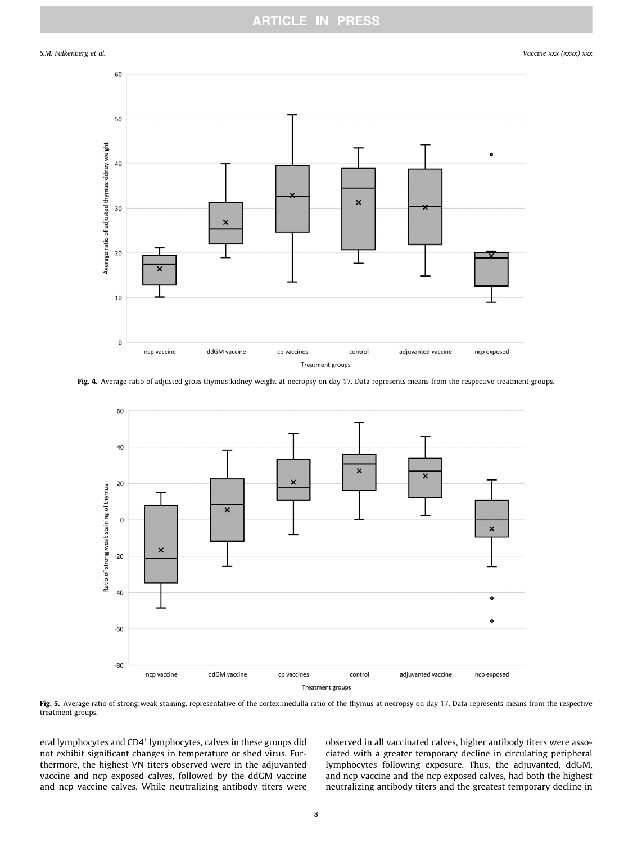## **ARTICLE IN PRESS**

<span id="page-7-0"></span>S.M. Falkenberg et al. Vaccine xxx (xxxx) xxx



Fig. 4. Average ratio of adjusted gross thymus:kidney weight at necropsy on day 17. Data represents means from the respective treatment groups.



Fig. 5. Average ratio of strong:weak staining, representative of the cortex:medulla ratio of the thymus at necropsy on day 17. Data represents means from the respective treatment groups.

eral lymphocytes and CD4<sup>+</sup> lymphocytes, calves in these groups did not exhibit significant changes in temperature or shed virus. Furthermore, the highest VN titers observed were in the adjuvanted vaccine and ncp exposed calves, followed by the ddGM vaccine and ncp vaccine calves. While neutralizing antibody titers were observed in all vaccinated calves, higher antibody titers were associated with a greater temporary decline in circulating peripheral lymphocytes following exposure. Thus, the adjuvanted, ddGM, and ncp vaccine and the ncp exposed calves, had both the highest neutralizing antibody titers and the greatest temporary decline in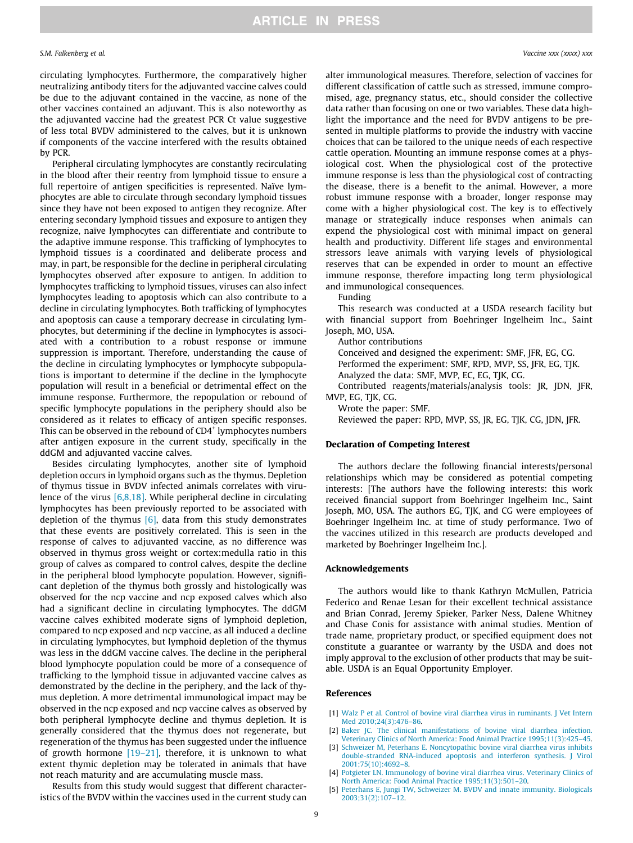<span id="page-8-0"></span>circulating lymphocytes. Furthermore, the comparatively higher neutralizing antibody titers for the adjuvanted vaccine calves could be due to the adjuvant contained in the vaccine, as none of the other vaccines contained an adjuvant. This is also noteworthy as the adjuvanted vaccine had the greatest PCR Ct value suggestive of less total BVDV administered to the calves, but it is unknown if components of the vaccine interfered with the results obtained by PCR.

Peripheral circulating lymphocytes are constantly recirculating in the blood after their reentry from lymphoid tissue to ensure a full repertoire of antigen specificities is represented. Naïve lymphocytes are able to circulate through secondary lymphoid tissues since they have not been exposed to antigen they recognize. After entering secondary lymphoid tissues and exposure to antigen they recognize, naïve lymphocytes can differentiate and contribute to the adaptive immune response. This trafficking of lymphocytes to lymphoid tissues is a coordinated and deliberate process and may, in part, be responsible for the decline in peripheral circulating lymphocytes observed after exposure to antigen. In addition to lymphocytes trafficking to lymphoid tissues, viruses can also infect lymphocytes leading to apoptosis which can also contribute to a decline in circulating lymphocytes. Both trafficking of lymphocytes and apoptosis can cause a temporary decrease in circulating lymphocytes, but determining if the decline in lymphocytes is associated with a contribution to a robust response or immune suppression is important. Therefore, understanding the cause of the decline in circulating lymphocytes or lymphocyte subpopulations is important to determine if the decline in the lymphocyte population will result in a beneficial or detrimental effect on the immune response. Furthermore, the repopulation or rebound of specific lymphocyte populations in the periphery should also be considered as it relates to efficacy of antigen specific responses. This can be observed in the rebound of CD4<sup>+</sup> lymphocytes numbers after antigen exposure in the current study, specifically in the ddGM and adjuvanted vaccine calves.

Besides circulating lymphocytes, another site of lymphoid depletion occurs in lymphoid organs such as the thymus. Depletion of thymus tissue in BVDV infected animals correlates with virulence of the virus [\[6,8,18\]](#page-9-0). While peripheral decline in circulating lymphocytes has been previously reported to be associated with depletion of the thymus  $[6]$ , data from this study demonstrates that these events are positively correlated. This is seen in the response of calves to adjuvanted vaccine, as no difference was observed in thymus gross weight or cortex:medulla ratio in this group of calves as compared to control calves, despite the decline in the peripheral blood lymphocyte population. However, significant depletion of the thymus both grossly and histologically was observed for the ncp vaccine and ncp exposed calves which also had a significant decline in circulating lymphocytes. The ddGM vaccine calves exhibited moderate signs of lymphoid depletion, compared to ncp exposed and ncp vaccine, as all induced a decline in circulating lymphocytes, but lymphoid depletion of the thymus was less in the ddGM vaccine calves. The decline in the peripheral blood lymphocyte population could be more of a consequence of trafficking to the lymphoid tissue in adjuvanted vaccine calves as demonstrated by the decline in the periphery, and the lack of thymus depletion. A more detrimental immunological impact may be observed in the ncp exposed and ncp vaccine calves as observed by both peripheral lymphocyte decline and thymus depletion. It is generally considered that the thymus does not regenerate, but regeneration of the thymus has been suggested under the influence of growth hormone  $[19-21]$ , therefore, it is unknown to what extent thymic depletion may be tolerated in animals that have not reach maturity and are accumulating muscle mass.

Results from this study would suggest that different characteristics of the BVDV within the vaccines used in the current study can alter immunological measures. Therefore, selection of vaccines for different classification of cattle such as stressed, immune compromised, age, pregnancy status, etc., should consider the collective data rather than focusing on one or two variables. These data highlight the importance and the need for BVDV antigens to be presented in multiple platforms to provide the industry with vaccine choices that can be tailored to the unique needs of each respective cattle operation. Mounting an immune response comes at a physiological cost. When the physiological cost of the protective immune response is less than the physiological cost of contracting the disease, there is a benefit to the animal. However, a more robust immune response with a broader, longer response may come with a higher physiological cost. The key is to effectively manage or strategically induce responses when animals can expend the physiological cost with minimal impact on general health and productivity. Different life stages and environmental stressors leave animals with varying levels of physiological reserves that can be expended in order to mount an effective immune response, therefore impacting long term physiological and immunological consequences.

Funding

This research was conducted at a USDA research facility but with financial support from Boehringer Ingelheim Inc., Saint Joseph, MO, USA.

Author contributions

Conceived and designed the experiment: SMF, JFR, EG, CG.

Performed the experiment: SMF, RPD, MVP, SS, JFR, EG, TJK.

Analyzed the data: SMF, MVP, EC, EG, TJK, CG.

Contributed reagents/materials/analysis tools: JR, JDN, JFR, MVP, EG, TJK, CG.

Wrote the paper: SMF.

Reviewed the paper: RPD, MVP, SS, JR, EG, TJK, CG, JDN, JFR.

### Declaration of Competing Interest

The authors declare the following financial interests/personal relationships which may be considered as potential competing interests: [The authors have the following interests: this work received financial support from Boehringer Ingelheim Inc., Saint Joseph, MO, USA. The authors EG, TJK, and CG were employees of Boehringer Ingelheim Inc. at time of study performance. Two of the vaccines utilized in this research are products developed and marketed by Boehringer Ingelheim Inc.].

#### Acknowledgements

The authors would like to thank Kathryn McMullen, Patricia Federico and Renae Lesan for their excellent technical assistance and Brian Conrad, Jeremy Spieker, Parker Ness, Dalene Whitney and Chase Conis for assistance with animal studies. Mention of trade name, proprietary product, or specified equipment does not constitute a guarantee or warranty by the USDA and does not imply approval to the exclusion of other products that may be suitable. USDA is an Equal Opportunity Employer.

#### References

- [1] [Walz P et al. Control of bovine viral diarrhea virus in ruminants. J Vet Intern](http://refhub.elsevier.com/S0264-410X(20)31206-8/h0005) [Med 2010;24\(3\):476–86](http://refhub.elsevier.com/S0264-410X(20)31206-8/h0005).
- [2] [Baker JC. The clinical manifestations of bovine viral diarrhea infection.](http://refhub.elsevier.com/S0264-410X(20)31206-8/h0010) [Veterinary Clinics of North America: Food Animal Practice 1995;11\(3\):425–45](http://refhub.elsevier.com/S0264-410X(20)31206-8/h0010).
- [3] [Schweizer M, Peterhans E. Noncytopathic bovine viral diarrhea virus inhibits](http://refhub.elsevier.com/S0264-410X(20)31206-8/h0015) [double-stranded RNA-induced apoptosis and interferon synthesis. J Virol](http://refhub.elsevier.com/S0264-410X(20)31206-8/h0015) [2001;75\(10\):4692–8](http://refhub.elsevier.com/S0264-410X(20)31206-8/h0015).
- [4] [Potgieter LN. Immunology of bovine viral diarrhea virus. Veterinary Clinics of](http://refhub.elsevier.com/S0264-410X(20)31206-8/h0020) [North America: Food Animal Practice 1995;11\(3\):501–20](http://refhub.elsevier.com/S0264-410X(20)31206-8/h0020).
- [5] [Peterhans E, Jungi TW, Schweizer M. BVDV and innate immunity. Biologicals](http://refhub.elsevier.com/S0264-410X(20)31206-8/h0025) [2003;31\(2\):107–12](http://refhub.elsevier.com/S0264-410X(20)31206-8/h0025).